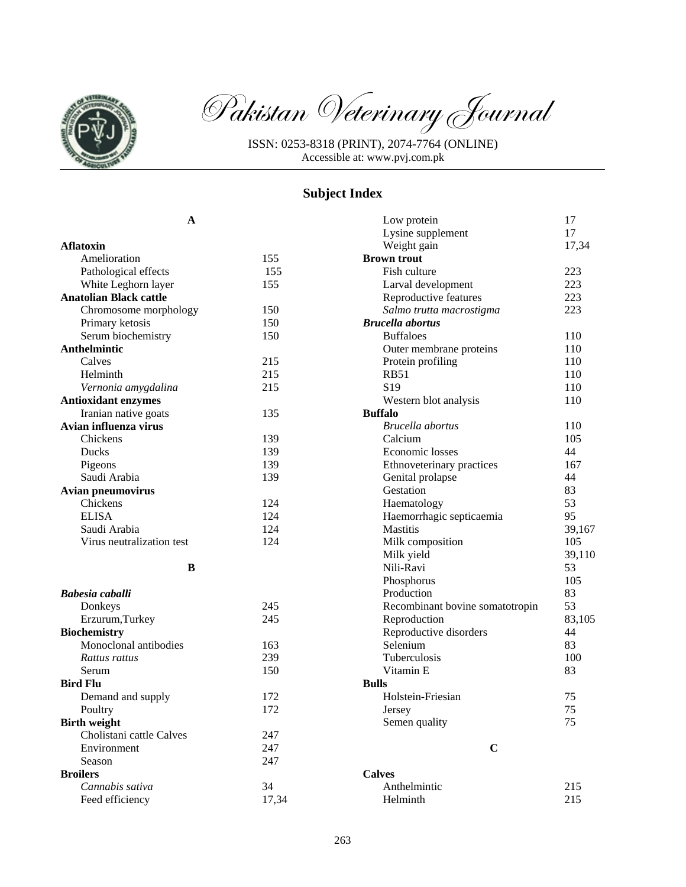

Pakistan Veterinary Journal

ISSN: 0253-8318 (PRINT), 2074-7764 (ONLINE) Accessible at: www.pvj.com.pk

## **Subject Index**

**A** 

| <b>Aflatoxin</b>              |       |
|-------------------------------|-------|
| Amelioration                  | 155   |
| Pathological effects          | 155   |
| White Leghorn layer           | 155   |
| <b>Anatolian Black cattle</b> |       |
| Chromosome morphology         | 150   |
| Primary ketosis               | 150   |
| Serum biochemistry            | 150   |
| Anthelmintic                  |       |
| Calves                        | 215   |
| Helminth                      | 215   |
| Vernonia amygdalina           | 215   |
| <b>Antioxidant enzymes</b>    |       |
| Iranian native goats          | 135   |
| Avian influenza virus         |       |
| Chickens                      | 139   |
| Ducks                         | 139   |
| Pigeons                       | 139   |
| Saudi Arabia                  | 139   |
| <b>Avian pneumovirus</b>      |       |
| Chickens                      | 124   |
| <b>ELISA</b>                  | 124   |
| Saudi Arabia                  | 124   |
| Virus neutralization test     | 124   |
| B                             |       |
| Babesia caballi               |       |
| Donkeys                       | 245   |
| Erzurum, Turkey               | 245   |
| <b>Biochemistry</b>           |       |
| Monoclonal antibodies         | 163   |
| Rattus rattus                 | 239   |
| Serum                         | 150   |
| <b>Bird Flu</b>               |       |
| Demand and supply             | 172   |
| Poultry                       | 172   |
| <b>Birth weight</b>           |       |
| Cholistani cattle Calves      | 247   |
| Environment                   | 247   |
| Season                        | 247   |
| <b>Broilers</b>               |       |
| Cannabis sativa               | 34    |
| Feed efficiency               | 17,34 |

| Low protein                     | 17     |
|---------------------------------|--------|
| Lysine supplement               | 17     |
| Weight gain                     | 17,34  |
| <b>Brown trout</b>              |        |
| Fish culture                    | 223    |
| Larval development              | 223    |
| Reproductive features           | 223    |
| Salmo trutta macrostigma        | 223    |
| <b>Brucella</b> abortus         |        |
| <b>Buffaloes</b>                | 110    |
| Outer membrane proteins         | 110    |
| Protein profiling               | 110    |
| <b>RB51</b>                     | 110    |
| S <sub>19</sub>                 | 110    |
| Western blot analysis           | 110    |
| <b>Buffalo</b>                  |        |
| Brucella abortus                | 110    |
| Calcium                         | 105    |
| Economic losses                 | 44     |
| Ethnoveterinary practices       | 167    |
| Genital prolapse                | 44     |
| Gestation                       | 83     |
| Haematology                     | 53     |
| Haemorrhagic septicaemia        | 95     |
| <b>Mastitis</b>                 | 39,167 |
| Milk composition                | 105    |
| Milk yield                      | 39,110 |
| Nili-Ravi                       | 53     |
| Phosphorus                      | 105    |
| Production                      | 83     |
| Recombinant bovine somatotropin | 53     |
| Reproduction                    | 83,105 |
| Reproductive disorders          | 44     |
| Selenium                        | 83     |
| Tuberculosis                    | 100    |
| Vitamin E                       | 83     |
| <b>Bulls</b>                    |        |
| Holstein-Friesian               | 75     |
| Jersey                          | 75     |
| Semen quality                   | 75     |
|                                 |        |
| C                               |        |
| r                               |        |

**Calves**  Anthelmintic 215 Helminth 215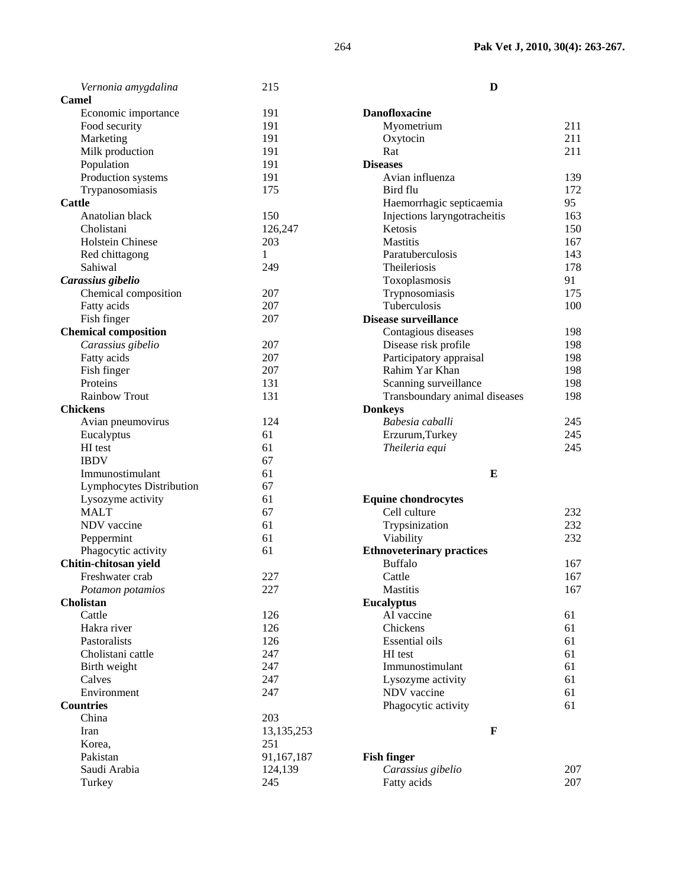| Vernonia amygdalina         | 215          | D                                |     |
|-----------------------------|--------------|----------------------------------|-----|
| Camel                       |              |                                  |     |
| Economic importance         | 191          | <b>Danofloxacine</b>             |     |
| Food security               | 191          | Myometrium                       | 211 |
| Marketing                   | 191          | Oxytocin                         | 211 |
| Milk production             | 191          | Rat                              | 211 |
| Population                  | 191          | <b>Diseases</b>                  |     |
| Production systems          | 191          | Avian influenza                  | 139 |
| Trypanosomiasis             | 175          | Bird flu                         | 172 |
| <b>Cattle</b>               |              | Haemorrhagic septicaemia         | 95  |
| Anatolian black             | 150          | Injections laryngotracheitis     | 163 |
| Cholistani                  | 126,247      | Ketosis                          | 150 |
| Holstein Chinese            | 203          | <b>Mastitis</b>                  | 167 |
| Red chittagong              | $\mathbf{1}$ | Paratuberculosis                 | 143 |
| Sahiwal                     | 249          | Theileriosis                     | 178 |
| Carassius gibelio           |              | Toxoplasmosis                    | 91  |
| Chemical composition        | 207          | Trypnosomiasis                   | 175 |
| Fatty acids                 | 207          | Tuberculosis                     | 100 |
| Fish finger                 | 207          | Disease surveillance             |     |
| <b>Chemical composition</b> |              | Contagious diseases              | 198 |
| Carassius gibelio           | 207          | Disease risk profile             | 198 |
| Fatty acids                 | 207          | Participatory appraisal          | 198 |
| Fish finger                 | 207          | Rahim Yar Khan                   | 198 |
| Proteins                    | 131          | Scanning surveillance            | 198 |
| Rainbow Trout               | 131          | Transboundary animal diseases    | 198 |
| <b>Chickens</b>             |              | <b>Donkeys</b>                   |     |
|                             | 124          | Babesia caballi                  | 245 |
| Avian pneumovirus           | 61           |                                  | 245 |
| Eucalyptus                  | 61           | Erzurum, Turkey                  | 245 |
| HI test<br><b>IBDV</b>      | 67           | Theileria equi                   |     |
| Immunostimulant             | 61           |                                  |     |
|                             |              | E                                |     |
| Lymphocytes Distribution    | 67           |                                  |     |
| Lysozyme activity           | 61           | <b>Equine chondrocytes</b>       |     |
| <b>MALT</b>                 | 67           | Cell culture                     | 232 |
| NDV vaccine                 | 61           | Trypsinization                   | 232 |
| Peppermint                  | 61           | Viability                        | 232 |
| Phagocytic activity         | 61           | <b>Ethnoveterinary practices</b> |     |
| Chitin-chitosan yield       |              | <b>Buffalo</b>                   | 167 |
| Freshwater crab             | 227          | Cattle                           | 167 |
| Potamon potamios            | 227          | <b>Mastitis</b>                  | 167 |
| <b>Cholistan</b>            |              | <b>Eucalyptus</b>                |     |
| Cattle                      | 126          | AI vaccine                       | 61  |
| Hakra river                 | 126          | Chickens                         | 61  |
| Pastoralists                | 126          | <b>Essential oils</b>            | 61  |
| Cholistani cattle           | 247          | HI test                          | 61  |
| Birth weight                | 247          | Immunostimulant                  | 61  |
| Calves                      | 247          | Lysozyme activity                | 61  |
| Environment                 | 247          | NDV vaccine                      | 61  |
| <b>Countries</b>            |              | Phagocytic activity              | 61  |
| China                       | 203          |                                  |     |
| Iran                        | 13, 135, 253 | $\mathbf{F}$                     |     |
| Korea,                      | 251          |                                  |     |
| Pakistan                    | 91,167,187   | <b>Fish finger</b>               |     |
| Saudi Arabia                | 124,139      | Carassius gibelio                | 207 |
| Turkey                      | 245          | Fatty acids                      | 207 |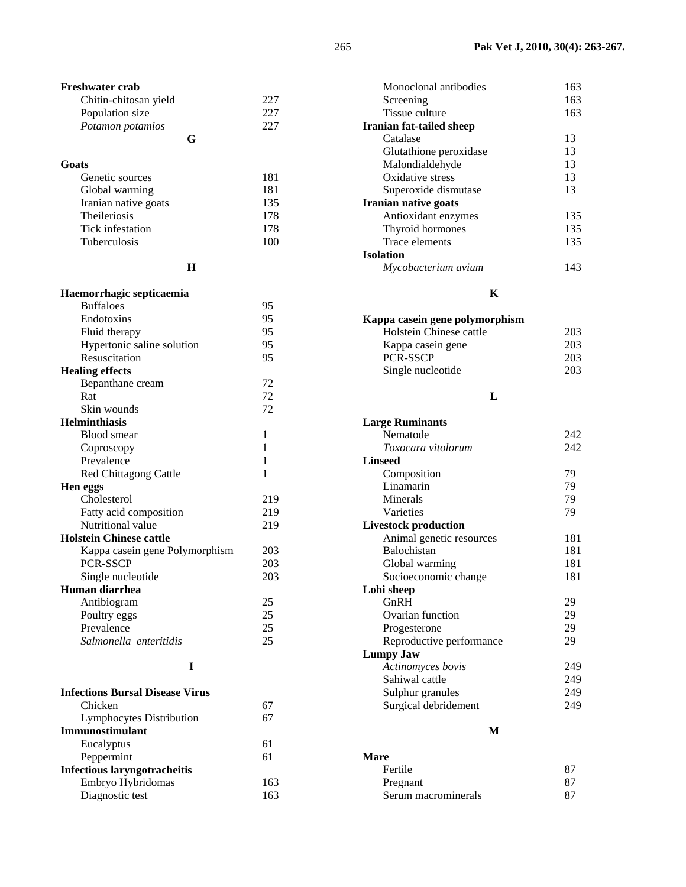| 181  |
|------|
| 181  |
| 135  |
| 178  |
| 178  |
| 1 በበ |
|      |

**H** 

**G** 

| Haemorrhagic septicaemia       |     |
|--------------------------------|-----|
| <b>Buffaloes</b>               | 95  |
| Endotoxins                     | 95  |
| Fluid therapy                  | 95  |
| Hypertonic saline solution     | 95  |
| Resuscitation                  | 95  |
| <b>Healing effects</b>         |     |
| Bepanthane cream               | 72  |
| Rat                            | 72  |
| Skin wounds                    | 72  |
| <b>Helminthiasis</b>           |     |
| Blood smear                    | 1   |
| Coproscopy                     | 1   |
| Prevalence                     | 1   |
| <b>Red Chittagong Cattle</b>   | 1   |
| Hen eggs                       |     |
| Cholesterol                    | 219 |
| Fatty acid composition         | 219 |
| Nutritional value              | 219 |
| <b>Holstein Chinese cattle</b> |     |
| Kappa casein gene Polymorphism | 203 |
| <b>PCR-SSCP</b>                | 203 |
| Single nucleotide              | 203 |
| Human diarrhea                 |     |
| Antibiogram                    | 25  |
| Poultry eggs                   | 25  |
| Prevalence                     | 25  |
| Salmonella enteritidis         | 25  |

# **I**

| <b>Infections Bursal Disease Virus</b> |     |
|----------------------------------------|-----|
| Chicken                                |     |
| Lymphocytes Distribution               | 67  |
| <b>Immunostimulant</b>                 |     |
| Eucalyptus                             | 61  |
| Peppermint                             | 61  |
| <b>Infectious laryngotracheitis</b>    |     |
| Embryo Hybridomas                      | 163 |
| Diagnostic test                        | 163 |

| Monoclonal antibodies       | 163 |
|-----------------------------|-----|
| Screening                   | 163 |
| Tissue culture              | 163 |
| Iranian fat-tailed sheep    |     |
| Catalase                    | 13  |
| Glutathione peroxidase      | 13  |
| Malondialdehyde             | 13  |
| Oxidative stress            | 13  |
| Superoxide dismutase        | 13  |
| <b>Iranian native goats</b> |     |
| Antioxidant enzymes         | 135 |
| Thyroid hormones            | 135 |
| Trace elements              | 135 |
| Isolation                   |     |
| Mycobacterium avium         | 143 |
|                             |     |

## **K**

| 203 |
|-----|
| 203 |
| 203 |
| 203 |
|     |

## **L**

| <b>Large Ruminants</b>      |     |
|-----------------------------|-----|
| Nematode                    | 242 |
| Toxocara vitolorum          | 242 |
| <b>Linseed</b>              |     |
| Composition                 | 79  |
| Linamarin                   | 79  |
| Minerals                    | 79  |
| Varieties                   | 79  |
| <b>Livestock production</b> |     |
| Animal genetic resources    | 181 |
| <b>Balochistan</b>          | 181 |
| Global warming              | 181 |
| Socioeconomic change        | 181 |
| Lohi sheep                  |     |
| GnRH                        | 29  |
| Ovarian function            | 29  |
| Progesterone                | 29  |
| Reproductive performance    | 29  |
| <b>Lumpy Jaw</b>            |     |
| Actinomyces bovis           | 249 |
| Sahiwal cattle              | 249 |
| Sulphur granules            | 249 |
| Surgical debridement        | 249 |
|                             |     |

## **M**

| <b>Mare</b>         |    |
|---------------------|----|
| Fertile             | 87 |
| Pregnant            | 87 |
| Serum macrominerals | 87 |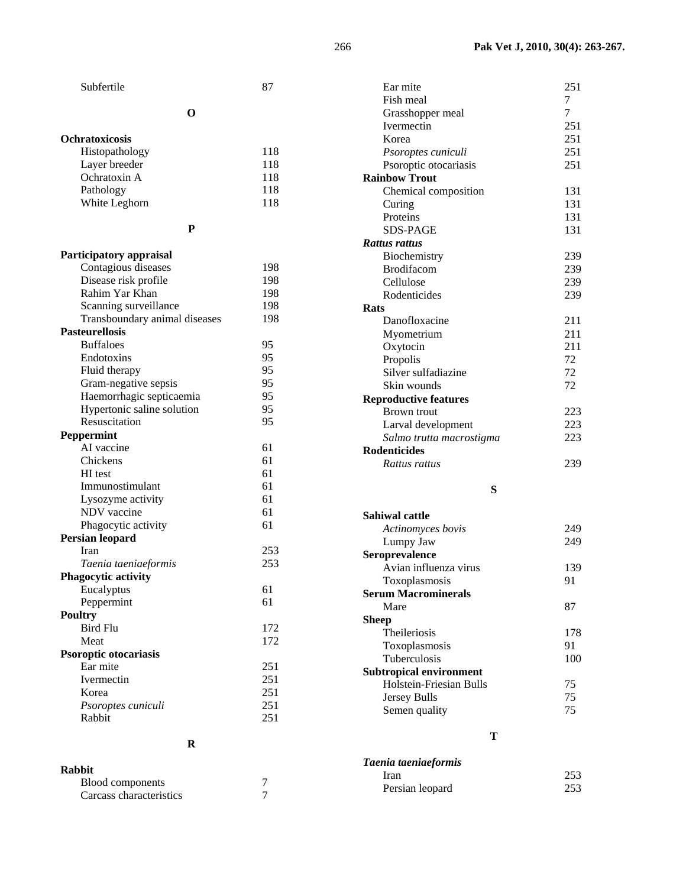| Subfertile                    | 87         | Ear mite                       | 251      |
|-------------------------------|------------|--------------------------------|----------|
|                               |            | Fish meal                      | 7        |
| $\mathbf 0$                   |            | Grasshopper meal               | 7        |
|                               |            | Ivermectin                     | 251      |
| <b>Ochratoxicosis</b>         |            | Korea                          | 251      |
| Histopathology                | 118        | Psoroptes cuniculi             | 251      |
| Layer breeder                 | 118        | Psoroptic otocariasis          | 251      |
| Ochratoxin A                  | 118        | <b>Rainbow Trout</b>           |          |
| Pathology                     | 118        | Chemical composition           | 131      |
| White Leghorn                 | 118        | Curing                         | 131      |
|                               |            | Proteins                       | 131      |
| ${\bf P}$                     |            | <b>SDS-PAGE</b>                | 131      |
|                               |            | Rattus rattus                  |          |
| Participatory appraisal       |            | Biochemistry                   | 239      |
| Contagious diseases           | 198        | Brodifacom                     | 239      |
| Disease risk profile          | 198        | Cellulose                      | 239      |
| Rahim Yar Khan                | 198        | Rodenticides                   | 239      |
| Scanning surveillance         | 198        | <b>Rats</b>                    |          |
| Transboundary animal diseases | 198        | Danofloxacine                  | 211      |
| <b>Pasteurellosis</b>         |            | Myometrium                     | 211      |
| <b>Buffaloes</b>              | 95         | Oxytocin                       | 211      |
| Endotoxins                    | 95         | Propolis                       | 72       |
| Fluid therapy                 | 95         | Silver sulfadiazine            | 72       |
| Gram-negative sepsis          | 95         | Skin wounds                    | 72       |
| Haemorrhagic septicaemia      | 95         | <b>Reproductive features</b>   |          |
| Hypertonic saline solution    | 95         | Brown trout                    | 223      |
| Resuscitation                 | 95         | Larval development             | 223      |
| Peppermint                    |            | Salmo trutta macrostigma       | 223      |
| AI vaccine                    | 61         | <b>Rodenticides</b>            |          |
| Chickens                      | 61         | Rattus rattus                  | 239      |
| HI test                       | 61         |                                |          |
| Immunostimulant               | 61         | S                              |          |
| Lysozyme activity             | 61         |                                |          |
| NDV vaccine                   | 61         |                                |          |
| Phagocytic activity           | 61         | <b>Sahiwal cattle</b>          |          |
| Persian leopard               |            | Actinomyces bovis              | 249      |
| Iran                          | 253        | Lumpy Jaw                      | 249      |
| Taenia taeniaeformis          | 253        | Seroprevalence                 |          |
| Phagocytic activity           |            | Avian influenza virus          | 139      |
| Eucalyptus                    | 61         | Toxoplasmosis                  | 91       |
| Peppermint                    | 61         | <b>Serum Macrominerals</b>     |          |
| <b>Poultry</b>                |            | Mare                           | 87       |
| <b>Bird Flu</b>               | 172        | <b>Sheep</b>                   |          |
| Meat                          | 172        | Theileriosis                   | 178      |
| Psoroptic otocariasis         |            | Toxoplasmosis                  | 91       |
| Ear mite                      | 251        | Tuberculosis                   | 100      |
| Ivermectin                    | 251        | <b>Subtropical environment</b> |          |
|                               |            | Holstein-Friesian Bulls        | 75       |
|                               |            |                                |          |
| Korea<br>Psoroptes cuniculi   | 251<br>251 | Jersey Bulls<br>Semen quality  | 75<br>75 |

**R** 

#### **Rabbit**  Blood components 7<br>Carcass characteristics 7 Carcass characteristics

**T** 

| Taenia taeniaeformis |     |
|----------------------|-----|
| Iran                 | 253 |
| Persian leopard      | 253 |